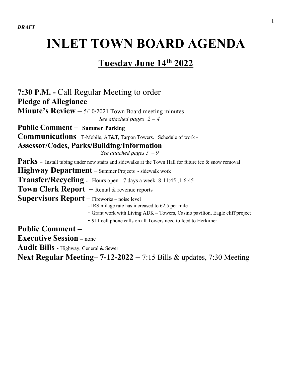# **INLET TOWN BOARD AGENDA**

## **Tuesday June 14th 2022**

**7:30 P.M. -** Call Regular Meeting to order **Pledge of Allegiance Minute's Review** – 5/10/2021 Town Board meeting minutes *See attached pages*  $2 - 4$ **Public Comment – Summer Parking Communications –** T-Mobile, AT&T, Tarpon Towers. Schedule of work - **Assessor/Codes, Parks/Building**/**Information** *See attached pages 5 – 9* Parks – Install tubing under new stairs and sidewalks at the Town Hall for future ice & snow removal **Highway Department** – Summer Projects - sidewalk work **Transfer/Recycling -** Hours open - 7 days a week 8-11:45 ,1-6:45 **Town Clerk Report –** Rental & revenue reports **Supervisors Report** – Fireworks – noise level - IRS milage rate has increased to 62.5 per mile - Grant work with Living ADK – Towers, Casino pavilion, Eagle cliff project - 911 cell phone calls on all Towers need to feed to Herkimer **Public Comment – Executive Session –** none **Audit Bills** - Highway, General & Sewer

**Next Regular Meeting– 7-12-2022** – 7:15 Bills & updates, 7:30 Meeting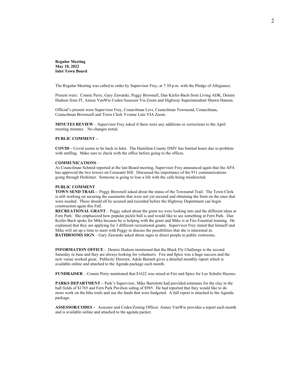**Regular Meeting May 10, 2022 Inlet Town Board**

The Regular Meeting was called to order by Supervisor Frey, at 7:30 p.m. with the Pledge of Allegiance.

Present were: Connie Perry, Gary Zawatski, Peggy Brownell, Dan Kiefer-Bach from Living ADK, Dennis Hudson from IT, Aimee VanWie Codes/Assessor Via Zoom and Highway Superintendent Shawn Hansen.

Official's present were Supervisor Frey, Councilman Levi, Councilman Townsend, Councilman, Councilman Brownsell and Town Clerk Yvonne Lutz VIA Zoom.

**MINUTES REVIEW** – Supervisor Frey asked if there were any additions or corrections to the April meeting minutes. No changes noted.

#### **PUBLIC COMMENT –**

**COVID –** Covid seems to be back in Inlet. The Hamilton County DMV has limited hours due to problem with staffing. Make sure to check with the office before going to the offices.

#### **COMMUNICATIONS** –

As Councilman Schmid reported at the last Board meeting, Supervisor Frey announced again that the APA has approved the two towers on Corasanti Hill. Discussed the importance of the 911 communications going through Herkimer. Someone is going to lose a life with the calls being misdirected.

#### **PUBLIC COMMENT**

**TOWN SEND TRAIL –** Peggy Brownell asked about the status of the Townsend Trail. The Town Clerk is still working on securing the easements that were not yet secured and obtaining the form on the ones that were needed. These should all be secured and recorded before the Highway Department can begin construction again this Fall.

**RECREATIONAL GRANT** – Peggy asked about the grant we were looking into and the different ideas at Fern Park. She emphasized how popular pickle ball is and would like to see something at Fern Park. Dan Keifer-Bach spoke for Mike because he is helping with the grant and Mike is at Fire Essential training. He explained that they are applying for 3 different recreational grants. Supervisor Frey stated that himself and Mike will set up a time to meet with Peggy to discuss the possibilities that she is interested in. **BATHROOMS SIGN** – Gary Zawatski asked about signs to direct people to public restrooms.

**INFORMATION OFFICE** - Dennis Hudson mentioned that the Black Fly Challenge is the second Saturday in June and they are always looking for volunteers. Fire and Spice was a huge success and the new venue worked great. Publicity Director, Adele Burnett gives a detailed monthly report which is available online and attached to the Agenda package each month.

**FUNDRAISER** – Connie Perry mentioned that \$1622 was raised at Fire and Spice for Lee Schultz Haynes.

**PARKS DEPARTMENT –** Park's Supervisor, Mike Bartolotti had provided estimates for the clay in the ball fields of \$1765 and Fern Park Pavilion siding of \$985. He had reported that they would like to do more work on the bike trails and use the funds that were budgeted. A full report is attached to the Agenda package.

**ASSESSOR/CODES -** Assessor and Codes/Zoning Officer, Aimee VanWie provides a report each month and is available online and attached to the agenda packet.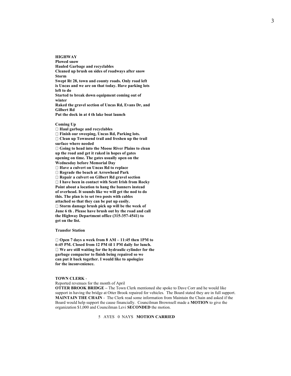**HIGHWAY Plowed snow Hauled Garbage and recyclables Cleaned up brush on sides of roadways after snow Storm Swept Rt 28, town and county roads. Only road left is Uncas and we are on that today. Have parking lots left to do Started to break down equipment coming out of winter Raked the gravel section of Uncas Rd, Evans Dr, and Gilbert Rd Put the dock in at 4 th lake boat launch**

#### **Coming Up**

**Haul garbage and recyclables**

**Finish our sweeping, Uncas Rd, Parking lots.**

**Clean up Townsend trail and freshen up the trail surface where needed**

**Going to head into the Moose River Plains to clean up the road and get it raked in hopes of gates opening on time. The gates usually open on the Wednesday before Memorial Day**

**Have a culvert on Uncas Rd to replace**

**Regrade the beach at Arrowhead Park**

**Repair a culvert on Gilbert Rd gravel section**

**I have been in contact with Scott Irish from Rocky Point about a location to hang the banners instead of overhead. It sounds like we will get the nod to do this. The plan is to set two posts with cables attached so that they can be put up easily. Storm damage brush pick up will be the week of June 6 th . Please have brush out by the road and call the Highway Department office (315-357-4541) to get on the list.**

#### **Transfer Station**

**Open 7 days a week from 8 AM – 11:45 then 1PM to 6:45 PM. Closed from 12 PM til 1 PM daily for lunch. We are still waiting for the hydraulic cylinder for the garbage compactor to finish being repaired so we can put it back together. I would like to apologize for the inconvenience.**

#### **TOWN CLERK** -

Reported revenues for the month of April

**OTTER BROOK BRIDGE –** The Town Clerk mentioned she spoke to Dave Corr and he would like support in having the bridge at Otter Brook repaired for vehicles. The Board stated they are in full support. **MAINTAIN THE CHAIN** - The Clerk read some information from Maintain the Chain and asked if the Board would help support the cause financially. Councilman Brownsell made a **MOTION** to give the organization \$1,000 and Councilman Levi **SECONDED** the motion.

#### 5 AYES 0 NAYS **MOTION CARRIED**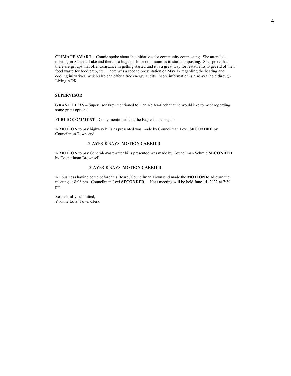**CLIMATE SMART** - Connie spoke about the initiatives for community composting. She attended a meeting in Saranac Lake and there is a huge push for communities to start composting. She spoke that there are groups that offer assistance in getting started and it is a great way for restaurants to get rid of their food waste for food prep, etc. There was a second presentation on May 17 regarding the heating and cooling initiatives, which also can offer a free energy audits. More information is also available through Living ADK.

#### **SUPERVISOR**

**GRANT IDEAS –** Supervisor Frey mentioned to Dan Keifer-Bach that he would like to meet regarding some grant options.

**PUBLIC COMMENT**- Denny mentioned that the Eagle is open again.

A **MOTION** to pay highway bills as presented was made by Councilman Levi, **SECONDED** by Councilman Townsend

#### 5 AYES 0 NAYS **MOTION CARRIED**

A **MOTION** to pay General/Wastewater bills presented was made by Councilman Schmid **SECONDED** by Councilman Brownsell

#### 5 AYES 0 NAYS **MOTION CARRIED**

All business having come before this Board, Councilman Townsend made the **MOTION** to adjourn the meeting at 8:06 pm. Councilman Levi **SECONDED**. Next meeting will be held June 14, 2022 at 7:30 pm.

Respectfully submitted, Yvonne Lutz, Town Clerk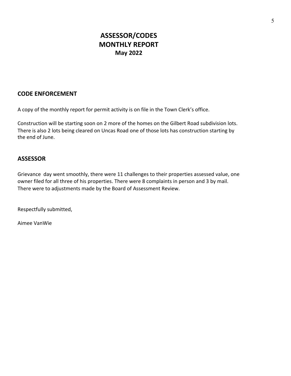## **ASSESSOR/CODES MONTHLY REPORT May 2022**

### **CODE ENFORCEMENT**

A copy of the monthly report for permit activity is on file in the Town Clerk's office.

Construction will be starting soon on 2 more of the homes on the Gilbert Road subdivision lots. There is also 2 lots being cleared on Uncas Road one of those lots has construction starting by the end of June.

### **ASSESSOR**

Grievance day went smoothly, there were 11 challenges to their properties assessed value, one owner filed for all three of his properties. There were 8 complaints in person and 3 by mail. There were to adjustments made by the Board of Assessment Review.

Respectfully submitted,

Aimee VanWie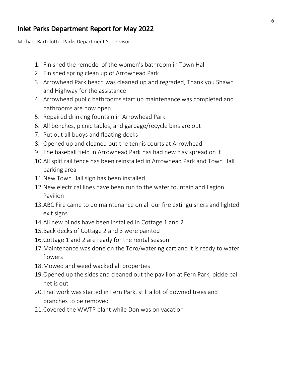## Inlet Parks Department Report for May 2022

Michael Bartolotti - Parks Department Supervisor

- 1. Finished the remodel of the women's bathroom in Town Hall
- 2. Finished spring clean up of Arrowhead Park
- 3. Arrowhead Park beach was cleaned up and regraded, Thank you Shawn and Highway for the assistance
- 4. Arrowhead public bathrooms start up maintenance was completed and bathrooms are now open
- 5. Repaired drinking fountain in Arrowhead Park
- 6. All benches, picnic tables, and garbage/recycle bins are out
- 7. Put out all buoys and floating docks
- 8. Opened up and cleaned out the tennis courts at Arrowhead
- 9. The baseball field in Arrowhead Park has had new clay spread on it
- 10.All split rail fence has been reinstalled in Arrowhead Park and Town Hall parking area
- 11.New Town Hall sign has been installed
- 12.New electrical lines have been run to the water fountain and Legion Pavilion
- 13.ABC Fire came to do maintenance on all our fire extinguishers and lighted exit signs
- 14.All new blinds have been installed in Cottage 1 and 2
- 15.Back decks of Cottage 2 and 3 were painted
- 16.Cottage 1 and 2 are ready for the rental season
- 17.Maintenance was done on the Toro/watering cart and it is ready to water flowers
- 18.Mowed and weed wacked all properties
- 19.Opened up the sides and cleaned out the pavilion at Fern Park, pickle ball net is out
- 20.Trail work was started in Fern Park, still a lot of downed trees and branches to be removed
- 21.Covered the WWTP plant while Don was on vacation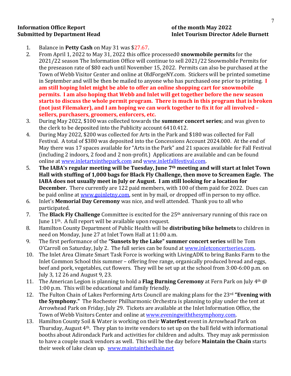# **Information Office Report because the information Office Report**

# **Submitted by Department Head Inlet Tourism Director Adele Burnett**

- 1. Balance in **Petty Cash** on May 31 was \$27.67.
- 2. From April 1, 2022 to May 31, 2022 this office processed0 **snowmobile permits** for the 2021/22 season The Information Office will continue to sell 2021/22 Snowmobile Permits for the preseason rate of \$80 each until November 15, 2022. Permits can also be purchased at the Town of Webb Visitor Center and online at OldForgeNY.com. Stickers will be printed sometime in September and will be then be mailed to anyone who has purchased one prior to printing. I **am still hoping Inlet might be able to offer an online shopping cart for snowmobile permits.** I am also hoping that Webb and Inlet will get together before the new season **starts** to discuss the whole permit program. There is much in this program that is broken **(not just Filemaker), and I am hoping we can work together to fix it for all involved –** sellers, purchasers, groomers, enforcers, etc.
- 3. During May 2022, \$100 was collected towards the **summer concert series**; and was given to the clerk to be deposited into the Publicity account 6410.412.
- 4. During May 2022, \$200 was collected for Arts in the Park and \$180 was collected for Fall Festival. A total of \$380 was deposited into the Concessions Account 2024.000. At the end of May there was 17 spaces available for "Arts in the Park" and 21 spaces available for Fall Festival (including 2 indoors, 2 food and 2 non-profit.) Applications are available and can be found online at www.inletartsinthepark.com and www.inletfallfestival.com.
- 5. The IABA's regular meeting will be Tuesday, June 7<sup>th</sup> meeting and will start at Inlet Town Hall with stuffing of 1,000 bags for Black Fly Challenge, then move to Screamen Eagle. The **IABA** does not usually meet in July or August. I am still looking for a location for **December.** There currently are 122 paid members, with 100 of them paid for 2022. Dues can be paid online at www.goinletny.com, sent in by mail, or dropped off in person to my office.
- 6. Inlet's **Memorial Day Ceremony** was nice, and well attended. Thank you to all who participated.
- 7. The **Black Fly Challenge** Committee is excited for the 25<sup>th</sup> anniversary running of this race on June  $11<sup>th</sup>$ . A full report will be available upon request.
- 8. Hamilton County Department of Public Health will be **distributing bike helmets** to children in need on Monday, June 27 at Inlet Town Hall at 11:00 a.m.
- 9. The first performance of the "**Sunsets by the Lake" summer concert series** will be Tom O'Carroll on Saturday, July 2. The full series can be found at www.inletconcertseries.com.
- 10. The Inlet Area Climate Smart Task Force is working with LivingADK to bring Banks Farm to the Inlet Common School this summer – offering free range, organically produced bread and eggs, beef and pork, vegetables, cut flowers. They will be set up at the school from 3:00-6:00 p.m. on July 3, 12 26 and August 9, 23.
- 11. The American Legion is planning to hold a **Flag Burning Ceremony** at Fern Park on July  $4<sup>th</sup>$  @ 1:00 p.m. This will be educational and family friendly.
- 12. The Fulton Chain of Lakes Performing Arts Council are making plans for the 23<sup>rd</sup> "Evening with **the Symphony."** The Rochester Philharmonic Orchestra is planning to play under the tent at Arrowhead Park on Friday, July 29. Tickets are available at the Inlet Information Office, the Town of Webb Visitors Center and online at www.eveningwiththesymphony.com.
- 13. Hamilton County Soil & Water is working on their **Waterfest** event in Arrowhead Park on Thursday, August  $4<sup>th</sup>$ . They plan to invite vendors to set up on the ball field with informational booths about Adirondack Park and activities for children and adults. They may ask permission to have a couple snack vendors as well. This will be the day before **Maintain the Chain** starts their week of lake clean up. www.maintainthechain.net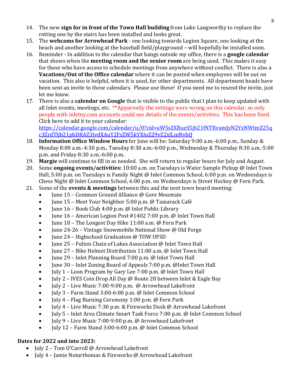- 14. The new **sign for in front of the Town Hall building** from Luke Langworthy to replace the rotting one by the stairs has been installed and looks great.
- 15. The webcams for Arrowhead Park one looking towards Legion Square, one looking at the beach and another looking at the baseball field/playground – will hopefully be installed soon.
- 16. Reminder In addition to the calendar that hangs outside my office, there is a **google calendar** that shows when the **meeting room and the senior room** are being used. This makes it easy for those who have access to schedule meetings from anywhere without conflict. There is also a **Vacations/Out of the Office calendar** where it can be posted when employees will be out on vacation. This also is helpful, when it is used, for other departments. All department heads have been sent an invite to these calendars. Please use these! If you need me to resend the invite, just let me know.
- 17. There is also a **calendar on Google** that is visible to the public that I plan to keep updated with all Inlet events, meetings, etc.  $**$ Apparently the settings were wrong on this calendar, so only people with inletny.com accounts could see details of the events/activities. This has been fixed. Click here to add it to your calendar: https://calendar.google.com/calendar/u/0?cid=aW5sZXRueS5jb21fNTRvamJyN2YxNWtmZ25q

c3ZrdTJjb21pbDRAZ3JvdXAuY2FsZW5kYXIuZ29vZ2xlLmNvbQ

- 18. **Information Office Window Hours** for June will be: Saturday 9:00 a.m.-6:00 p.m., Sunday & Monday 8:00 a.m.-4:30 p.m., Tuesday 8:30 a.m.-6:00 p.m., Wednesday & Thursday 8:30 a.m.-5:00  $p.m.$  and Friday  $8:30$  a.m.-6:00  $p.m.$
- 19. **Margie** will continue to fill in as needed. She will return to regular hours for July and August.
- 20. Some **ongoing events/activities:** 10:00 a.m. on Tuesdays is Water Sample Pickup @ Inlet Town Hall,  $5:00$  p.m. on Tuesdays is Family Night @ Inlet Common School, 6:00 p.m. on Wednesdays is Chess Night @ Inlet Common School, 6:00 p.m. on Wednesdays is Street Hockey @ Fern Park.
- 21. Some of the **events & meetings** between this and the next town board meeting:
	- June 15 Common Ground Alliance @ Gore Mountain
	- June 15 Meet Your Neighbor 5:00 p.m. @ Tamarack Café
	- June  $16$  Book Club 4:00 p.m. @ Inlet Public Library
	- June 16 American Legion Post #1402 7:00 p.m. @ Inlet Town Hall
	- June 18 The Longest Day Hike 11:00 a.m. @ Fern Park
	- June 24-26 Vintage Snowmobile National Show  $\omega$  Old Forge
	- June 24 Highschool Graduation @ TOW UFSD
	- Iune 25 Fulton Chain of Lakes Association @ Inlet Town Hall
	- June 27 Bike Helmet Distribution 11:00 a.m. @ Inlet Town Hall
	- June 29 Inlet Planning Board 7:00 p.m. @ Inlet Town Hall
	- June 30 Inlet Zoning Board of Appeals 7:00 p.m. @Inlet Town Hall
	- July 1 Loon Program by Gary Lee 7:00 p.m. @ Inlet Town Hall
	- July 2 IVES Coin Drop All Day @ Route 28 between Inlet & Eagle Bay
	- July 2 Live Music 7:00-9:00 p.m. @ Arrowhead Lakefront
	- July 3 Farm Stand 3:00-6:00 p.m. @ Inlet Common School
	- July 4 Flag Burning Ceremony 1:00 p.m. @ Fern Park
	- July 4 Live Music 7:30 p.m. & Fireworks Dusk @ Arrowhead Lakefront
	- July 5 Inlet Area Climate Smart Task Force 7:00 p.m. @ Inlet Common School
	- July 9 Live Music 7:00-9:00 p.m. @ Arrowhead Lakefront
	- July 12 Farm Stand 3:00-6:00 p.m. @ Inlet Common School

### **Dates for 2022 and into 2023:**

- July 2 Tom O'Carroll @ Arrowhead Lakefront
- July 4 Jamie Notarthomas & Fireworks @ Arrowhead Lakefront